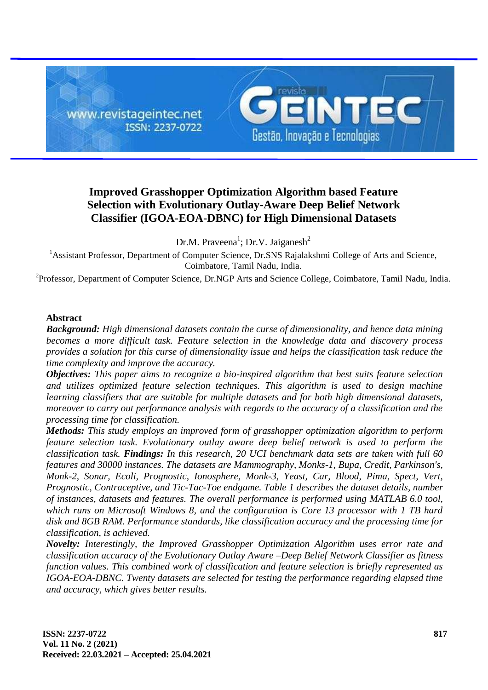

# **Improved Grasshopper Optimization Algorithm based Feature Selection with Evolutionary Outlay-Aware Deep Belief Network Classifier (IGOA-EOA-DBNC) for High Dimensional Datasets**

Dr.M. Praveena<sup>1</sup>; Dr.V. Jaiganesh<sup>2</sup>

<sup>1</sup> Assistant Professor, Department of Computer Science, Dr.SNS Rajalakshmi College of Arts and Science, Coimbatore, Tamil Nadu, India.

<sup>2</sup>Professor, Department of Computer Science, Dr.NGP Arts and Science College, Coimbatore, Tamil Nadu, India.

# **Abstract**

*Background: High dimensional datasets contain the curse of dimensionality, and hence data mining becomes a more difficult task. Feature selection in the knowledge data and discovery process provides a solution for this curse of dimensionality issue and helps the classification task reduce the time complexity and improve the accuracy.*

*Objectives: This paper aims to recognize a bio-inspired algorithm that best suits feature selection and utilizes optimized feature selection techniques. This algorithm is used to design machine learning classifiers that are suitable for multiple datasets and for both high dimensional datasets, moreover to carry out performance analysis with regards to the accuracy of a classification and the processing time for classification.*

*Methods: This study employs an improved form of grasshopper optimization algorithm to perform feature selection task. Evolutionary outlay aware deep belief network is used to perform the classification task. Findings: In this research, 20 UCI benchmark data sets are taken with full 60 features and 30000 instances. The datasets are Mammography, Monks-1, Bupa, Credit, Parkinson's, Monk-2, Sonar, Ecoli, Prognostic, Ionosphere, Monk-3, Yeast, Car, Blood, Pima, Spect, Vert, Prognostic, Contraceptive, and Tic-Tac-Toe endgame. Table 1 describes the dataset details, number of instances, datasets and features. The overall performance is performed using MATLAB 6.0 tool, which runs on Microsoft Windows 8, and the configuration is Core 13 processor with 1 TB hard disk and 8GB RAM. Performance standards, like classification accuracy and the processing time for classification, is achieved.*

*Novelty: Interestingly, the Improved Grasshopper Optimization Algorithm uses error rate and classification accuracy of the Evolutionary Outlay Aware –Deep Belief Network Classifier as fitness function values. This combined work of classification and feature selection is briefly represented as IGOA-EOA-DBNC. Twenty datasets are selected for testing the performance regarding elapsed time and accuracy, which gives better results.*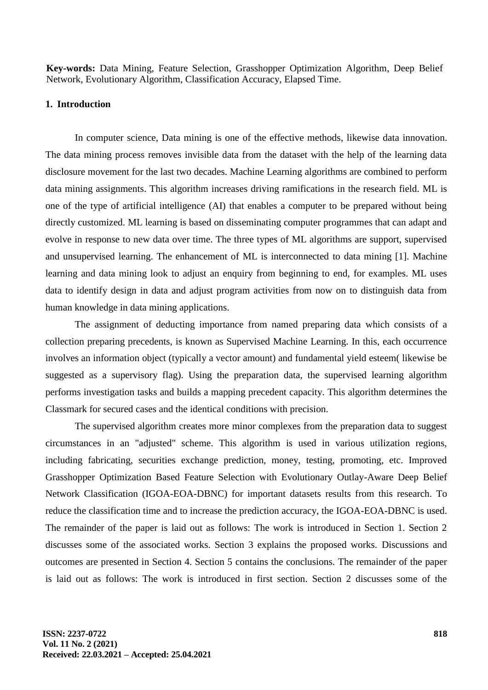**Key-words:** Data Mining, Feature Selection, Grasshopper Optimization Algorithm, Deep Belief Network, Evolutionary Algorithm, Classification Accuracy, Elapsed Time.

# **1. Introduction**

In computer science, Data mining is one of the effective methods, likewise data innovation. The data mining process removes invisible data from the dataset with the help of the learning data disclosure movement for the last two decades. Machine Learning algorithms are combined to perform data mining assignments. This algorithm increases driving ramifications in the research field. ML is one of the type of artificial intelligence (AI) that enables a computer to be prepared without being directly customized. ML learning is based on disseminating computer programmes that can adapt and evolve in response to new data over time. The three types of ML algorithms are support, supervised and unsupervised learning. The enhancement of ML is interconnected to data mining [1]. Machine learning and data mining look to adjust an enquiry from beginning to end, for examples. ML uses data to identify design in data and adjust program activities from now on to distinguish data from human knowledge in data mining applications.

The assignment of deducting importance from named preparing data which consists of a collection preparing precedents, is known as Supervised Machine Learning. In this, each occurrence involves an information object (typically a vector amount) and fundamental yield esteem( likewise be suggested as a supervisory flag). Using the preparation data, the supervised learning algorithm performs investigation tasks and builds a mapping precedent capacity. This algorithm determines the Classmark for secured cases and the identical conditions with precision.

The supervised algorithm creates more minor complexes from the preparation data to suggest circumstances in an "adjusted" scheme. This algorithm is used in various utilization regions, including fabricating, securities exchange prediction, money, testing, promoting, etc. Improved Grasshopper Optimization Based Feature Selection with Evolutionary Outlay-Aware Deep Belief Network Classification (IGOA-EOA-DBNC) for important datasets results from this research. To reduce the classification time and to increase the prediction accuracy, the IGOA-EOA-DBNC is used. The remainder of the paper is laid out as follows: The work is introduced in Section 1. Section 2 discusses some of the associated works. Section 3 explains the proposed works. Discussions and outcomes are presented in Section 4. Section 5 contains the conclusions. The remainder of the paper is laid out as follows: The work is introduced in first section. Section 2 discusses some of the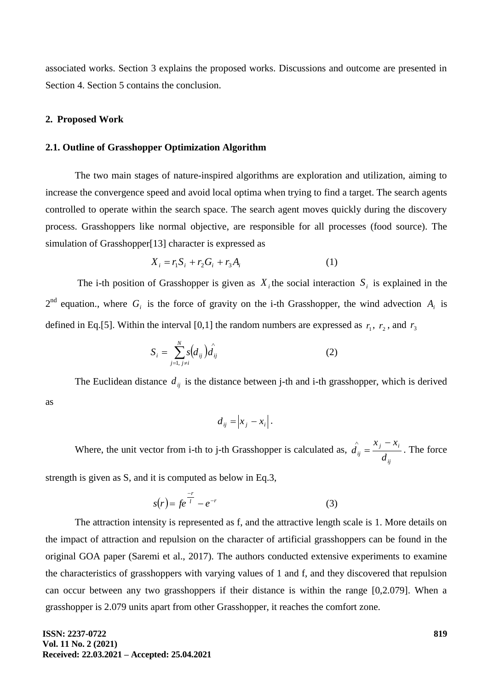associated works. Section 3 explains the proposed works. Discussions and outcome are presented in Section 4. Section 5 contains the conclusion.

#### **2. Proposed Work**

### **2.1. Outline of Grasshopper Optimization Algorithm**

The two main stages of nature-inspired algorithms are exploration and utilization, aiming to increase the convergence speed and avoid local optima when trying to find a target. The search agents controlled to operate within the search space. The search agent moves quickly during the discovery process. Grasshoppers like normal objective, are responsible for all processes (food source). The simulation of Grasshopper[13] character is expressed as

$$
X_i = r_1 S_i + r_2 G_i + r_3 A_i \tag{1}
$$

The i-th position of Grasshopper is given as  $X_i$  the social interaction  $S_i$  is explained in the  $2^{nd}$  equation., where  $G_i$  is the force of gravity on the i-th Grasshopper, the wind advection  $A_i$  is defined in Eq.[5]. Within the interval [0,1] the random numbers are expressed as  $r_1$ ,  $r_2$ , and  $r_3$ 

$$
S_{i} = \sum_{j=1, j \neq i}^{N} s(d_{ij}) \hat{d}_{ij}
$$
 (2)

The Euclidean distance  $d_{ij}$  is the distance between j-th and i-th grasshopper, which is derived as

$$
d_{ij} = \left| x_j - x_i \right|.
$$

Where, the unit vector from i-th to j-th Grasshopper is calculated as, *ij j i*  $\int$ <sup>*ij*</sup> *d*  $x_i - x$ *d*  $\overline{a}$  $\hat{u}_{ii} = \frac{x_i - x_i}{t}$ . The force

strength is given as S, and it is computed as below in Eq.3,

$$
s(r) = fe^{\frac{-r}{l}} - e^{-r}
$$
 (3)

The attraction intensity is represented as f, and the attractive length scale is 1. More details on the impact of attraction and repulsion on the character of artificial grasshoppers can be found in the original GOA paper (Saremi et al., 2017). The authors conducted extensive experiments to examine the characteristics of grasshoppers with varying values of 1 and f, and they discovered that repulsion can occur between any two grasshoppers if their distance is within the range [0,2.079]. When a grasshopper is 2.079 units apart from other Grasshopper, it reaches the comfort zone.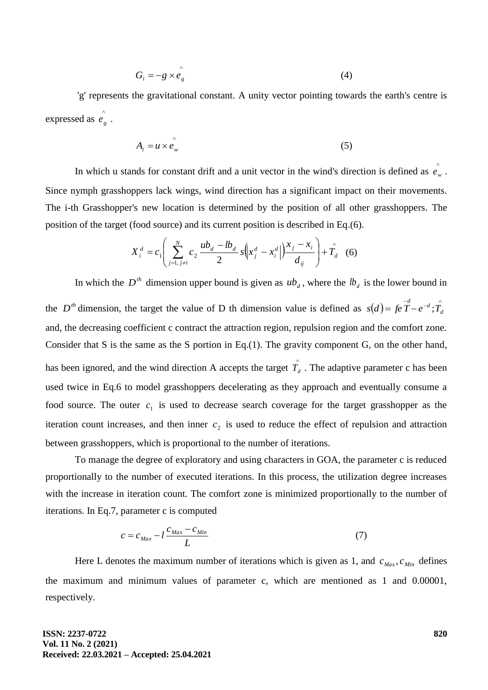$$
G_i = -g \times \stackrel{\wedge}{e}_g \tag{4}
$$

'g' represents the gravitational constant. A unity vector pointing towards the earth's centre is expressed as  $\hat{e}_e$ *g e* .

$$
A_i = u \times \hat{e_w} \tag{5}
$$

In which u stands for constant drift and a unit vector in the wind's direction is defined as  $e_1$ <sup>2</sup> *w e* . Since nymph grasshoppers lack wings, wind direction has a significant impact on their movements. The i-th Grasshopper's new location is determined by the position of all other grasshoppers. The position of the target (food source) and its current position is described in Eq.(6).

$$
X_i^d = c_1 \left( \sum_{j=1, j \neq i}^{N} c_2 \frac{ub_d - lb_d}{2} s \left( x_j^d - x_i^d \right) \frac{x_j - x_i}{d_{ij}} \right) + \hat{T_d}
$$
 (6)

In which the  $D^{th}$  dimension upper bound is given as  $ub_d$ , where the  $lb_d$  is the lower bound in

the *D*<sup>th</sup> dimension, the target the value of D th dimension value is defined as  $s(d) = fe^{-d} - e^{-d}$ ;  $\hat{T}_d$ and, the decreasing coefficient c contract the attraction region, repulsion region and the comfort zone. Consider that S is the same as the S portion in Eq.(1). The gravity component G, on the other hand, has been ignored, and the wind direction A accepts the target  $\hat{T}_d$ . The adaptive parameter c has been used twice in Eq.6 to model grasshoppers decelerating as they approach and eventually consume a food source. The outer  $c_1$  is used to decrease search coverage for the target grasshopper as the iteration count increases, and then inner  $c<sub>2</sub>$  is used to reduce the effect of repulsion and attraction between grasshoppers, which is proportional to the number of iterations.

To manage the degree of exploratory and using characters in GOA, the parameter c is reduced proportionally to the number of executed iterations. In this process, the utilization degree increases with the increase in iteration count. The comfort zone is minimized proportionally to the number of iterations. In Eq.7, parameter c is computed

$$
c = c_{\text{Max}} - l \frac{c_{\text{Max}} - c_{\text{Min}}}{L} \tag{7}
$$

Here L denotes the maximum number of iterations which is given as 1, and  $c_{\text{Max}}$ ,  $c_{\text{Min}}$  defines the maximum and minimum values of parameter c, which are mentioned as 1 and 0.00001, respectively.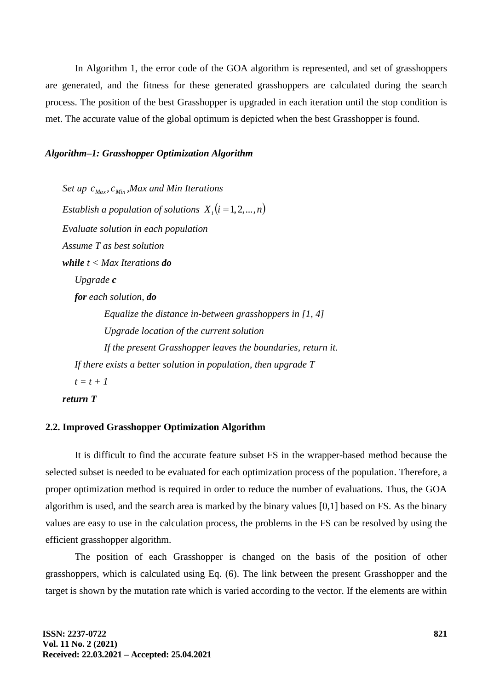In Algorithm 1, the error code of the GOA algorithm is represented, and set of grasshoppers are generated, and the fitness for these generated grasshoppers are calculated during the search process. The position of the best Grasshopper is upgraded in each iteration until the stop condition is met. The accurate value of the global optimum is depicted when the best Grasshopper is found.

### *Algorithm–1: Grasshopper Optimization Algorithm*

*Set up Max c , Min c ,Max and Min Iterations Establish a population of solutions*  $X_i$   $(i = 1, 2, ..., n)$ *Evaluate solution in each population Assume T as best solution while t < Max Iterations do Upgrade c for each solution, do Equalize the distance in-between grasshoppers in [1, 4] Upgrade location of the current solution If the present Grasshopper leaves the boundaries, return it. If there exists a better solution in population, then upgrade T t = t + 1 return T*

# **2.2. Improved Grasshopper Optimization Algorithm**

It is difficult to find the accurate feature subset FS in the wrapper-based method because the selected subset is needed to be evaluated for each optimization process of the population. Therefore, a proper optimization method is required in order to reduce the number of evaluations. Thus, the GOA algorithm is used, and the search area is marked by the binary values [0,1] based on FS. As the binary values are easy to use in the calculation process, the problems in the FS can be resolved by using the efficient grasshopper algorithm.

The position of each Grasshopper is changed on the basis of the position of other grasshoppers, which is calculated using Eq. (6). The link between the present Grasshopper and the target is shown by the mutation rate which is varied according to the vector. If the elements are within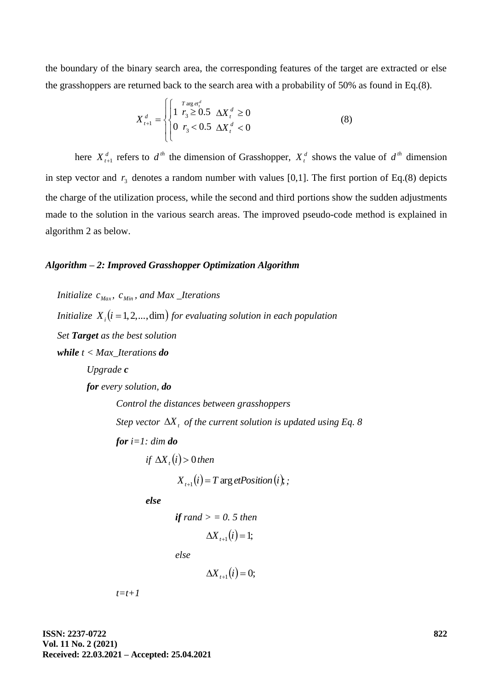the boundary of the binary search area, the corresponding features of the target are extracted or else the grasshoppers are returned back to the search area with a probability of 50% as found in Eq.(8).

$$
X_{t+1}^{d} = \begin{cases} \begin{cases} \n1 & r_3 \geq 0.5 \quad \Delta X_t^d \geq 0 \\ \n0 & r_3 < 0.5 \quad \Delta X_t^d < 0 \n\end{cases} \tag{8}
$$

here  $X_{t+1}^d$  refers to  $d^{th}$  the dimension of Grasshopper,  $X_t^d$  shows the value of  $d^{th}$  dimension in step vector and  $r_3$  denotes a random number with values [0,1]. The first portion of Eq.(8) depicts the charge of the utilization process, while the second and third portions show the sudden adjustments made to the solution in the various search areas. The improved pseudo-code method is explained in algorithm 2 as below.

## *Algorithm – 2: Improved Grasshopper Optimization Algorithm*

```
Initialize c<sub>Max</sub>, c<sub>Min</sub>, and Max _Iterations
Initialize X_i (i = 1, 2, ..., dim) for evaluating solution in each population
Set Target as the best solution
while t < Max_Iterations do
        Upgrade c
        for every solution, do
                 Control the distances between grasshoppers
                 Step vector \Delta X<sub>t</sub> of the current solution is updated using Eq. 8
                for i=1: dim do
                          if \Delta X_i(i) > 0 then
```
 $X_{i+1}(i) = T \arg et Position(i);$ 

*else*

$$
\textbf{if } rand > = 0.5 \text{ then}
$$
\n
$$
\Delta X_{t+1}(i) = 1;
$$

*else*

$$
\Delta X_{t+1}(i) = 0;
$$

*t=t+1*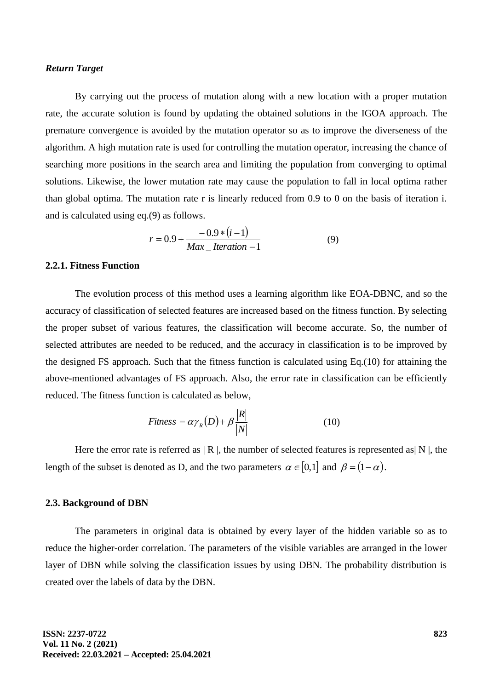#### *Return Target*

By carrying out the process of mutation along with a new location with a proper mutation rate, the accurate solution is found by updating the obtained solutions in the IGOA approach. The premature convergence is avoided by the mutation operator so as to improve the diverseness of the algorithm. A high mutation rate is used for controlling the mutation operator, increasing the chance of searching more positions in the search area and limiting the population from converging to optimal solutions. Likewise, the lower mutation rate may cause the population to fall in local optima rather than global optima. The mutation rate r is linearly reduced from 0.9 to 0 on the basis of iteration i. and is calculated using eq.(9) as follows.

$$
r = 0.9 + \frac{-0.9 * (i - 1)}{Max\_Iteration - 1}
$$
 (9)

## **2.2.1. Fitness Function**

The evolution process of this method uses a learning algorithm like EOA-DBNC, and so the accuracy of classification of selected features are increased based on the fitness function. By selecting the proper subset of various features, the classification will become accurate. So, the number of selected attributes are needed to be reduced, and the accuracy in classification is to be improved by the designed FS approach. Such that the fitness function is calculated using Eq.(10) for attaining the above-mentioned advantages of FS approach. Also, the error rate in classification can be efficiently reduced. The fitness function is calculated as below,

$$
Fitness = \alpha \gamma_R(D) + \beta \frac{|R|}{|N|} \tag{10}
$$

Here the error rate is referred as  $|R|$ , the number of selected features is represented as  $|N|$ , the length of the subset is denoted as D, and the two parameters  $\alpha \in [0,1]$  and  $\beta = (1-\alpha)$ .

#### **2.3. Background of DBN**

The parameters in original data is obtained by every layer of the hidden variable so as to reduce the higher-order correlation. The parameters of the visible variables are arranged in the lower layer of DBN while solving the classification issues by using DBN. The probability distribution is created over the labels of data by the DBN.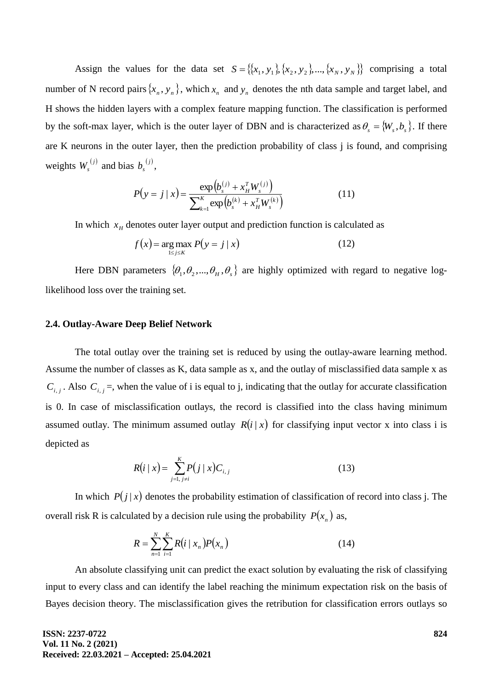Assign the values for the data set  $S = \{(x_1, y_1), (x_2, y_2), ..., (x_N, y_N)\}$  comprising a total number of N record pairs  $\{x_n, y_n\}$ , which  $x_n$  and  $y_n$  denotes the nth data sample and target label, and H shows the hidden layers with a complex feature mapping function. The classification is performed by the soft-max layer, which is the outer layer of DBN and is characterized as  $\theta_s = \{W_s, b_s\}$ . If there are K neurons in the outer layer, then the prediction probability of class j is found, and comprising weights  $W_s^{(j)}$  and bias  $b_s^{(j)}$ ,

$$
P(y = j \mid x) = \frac{\exp(b_s^{(j)} + x_H^T W_s^{(j)})}{\sum_{k=1}^K \exp(b_s^{(k)} + x_H^T W_s^{(k)})}
$$
(11)

In which  $x_H$  denotes outer layer output and prediction function is calculated as

$$
f(x) = \underset{1 \le j \le K}{\arg \max} P(y = j | x)
$$
 (12)

Here DBN parameters  $\{\theta_1, \theta_2, ..., \theta_H, \theta_s\}$  are highly optimized with regard to negative loglikelihood loss over the training set.

#### **2.4. Outlay-Aware Deep Belief Network**

The total outlay over the training set is reduced by using the outlay-aware learning method. Assume the number of classes as K, data sample as x, and the outlay of misclassified data sample x as  $C_{i,j}$ . Also  $C_{i,j}$  =, when the value of i is equal to j, indicating that the outlay for accurate classification is 0. In case of misclassification outlays, the record is classified into the class having minimum assumed outlay. The minimum assumed outlay  $R(i|x)$  for classifying input vector x into class i is depicted as

$$
R(i \mid x) = \sum_{j=1, j \neq i}^{K} P(j \mid x) C_{i,j} \tag{13}
$$

In which  $P(j|x)$  denotes the probability estimation of classification of record into class j. The overall risk R is calculated by a decision rule using the probability  $P(x_n)$  as,

$$
R = \sum_{n=1}^{N} \sum_{i=1}^{K} R(i \mid x_n) P(x_n)
$$
 (14)

An absolute classifying unit can predict the exact solution by evaluating the risk of classifying input to every class and can identify the label reaching the minimum expectation risk on the basis of Bayes decision theory. The misclassification gives the retribution for classification errors outlays so

**ISSN: 2237-0722 Vol. 11 No. 2 (2021) Received: 22.03.2021 – Accepted: 25.04.2021**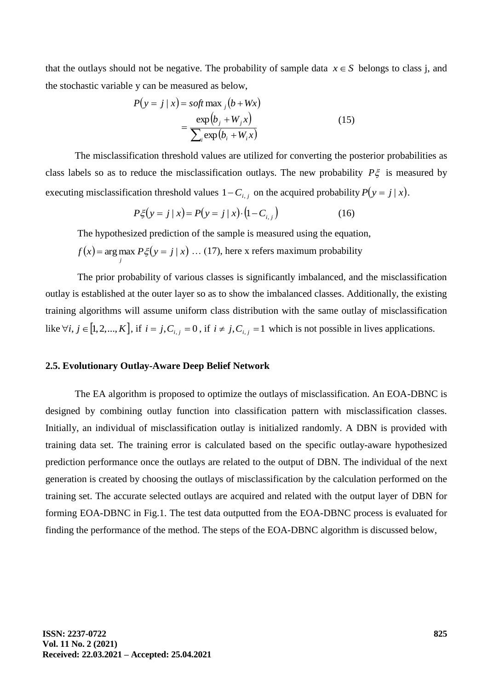that the outlays should not be negative. The probability of sample data  $x \in S$  belongs to class j, and the stochastic variable y can be measured as below,

$$
P(y = j | x) = soft \max_{j} (b + Wx)
$$

$$
= \frac{\exp(b_j + W_j x)}{\sum_{i} \exp(b_i + W_i x)}
$$
(15)

The misclassification threshold values are utilized for converting the posterior probabilities as class labels so as to reduce the misclassification outlays. The new probability  $P\xi$  is measured by executing misclassification threshold values  $1 - C_{i,j}$  on the acquired probability  $P(y = j | x)$ .

$$
P\xi(y = j | x) = P(y = j | x) \cdot (1 - C_{i,j})
$$
\n(16)

The hypothesized prediction of the sample is measured using the equation,

$$
f(x) = \arg\max_{j} P\xi(y = j \mid x) \dots (17)
$$
, here x refers maximum probability

The prior probability of various classes is significantly imbalanced, and the misclassification outlay is established at the outer layer so as to show the imbalanced classes. Additionally, the existing training algorithms will assume uniform class distribution with the same outlay of misclassification like  $\forall i, j \in [1, 2, ..., K]$ , if  $i = j, C_{i,j} = 0$ , if  $i \neq j, C_{i,j} = 1$  which is not possible in lives applications.

#### **2.5. Evolutionary Outlay-Aware Deep Belief Network**

The EA algorithm is proposed to optimize the outlays of misclassification. An EOA-DBNC is designed by combining outlay function into classification pattern with misclassification classes. Initially, an individual of misclassification outlay is initialized randomly. A DBN is provided with training data set. The training error is calculated based on the specific outlay-aware hypothesized prediction performance once the outlays are related to the output of DBN. The individual of the next generation is created by choosing the outlays of misclassification by the calculation performed on the training set. The accurate selected outlays are acquired and related with the output layer of DBN for forming EOA-DBNC in Fig.1. The test data outputted from the EOA-DBNC process is evaluated for finding the performance of the method. The steps of the EOA-DBNC algorithm is discussed below,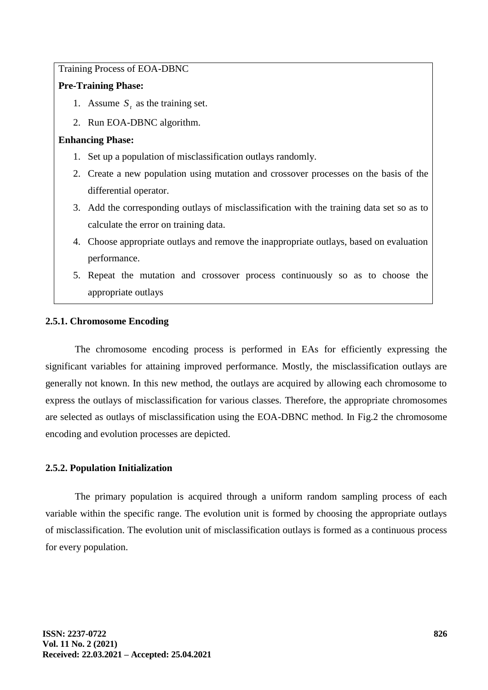Training Process of EOA-DBNC

# **Pre-Training Phase:**

- 1. Assume  $S_t$  as the training set.
- 2. Run EOA-DBNC algorithm.

# **Enhancing Phase:**

- 1. Set up a population of misclassification outlays randomly.
- 2. Create a new population using mutation and crossover processes on the basis of the differential operator.
- 3. Add the corresponding outlays of misclassification with the training data set so as to calculate the error on training data.
- 4. Choose appropriate outlays and remove the inappropriate outlays, based on evaluation performance.
- 5. Repeat the mutation and crossover process continuously so as to choose the appropriate outlays

# **2.5.1. Chromosome Encoding**

The chromosome encoding process is performed in EAs for efficiently expressing the significant variables for attaining improved performance. Mostly, the misclassification outlays are generally not known. In this new method, the outlays are acquired by allowing each chromosome to express the outlays of misclassification for various classes. Therefore, the appropriate chromosomes are selected as outlays of misclassification using the EOA-DBNC method. In Fig.2 the chromosome encoding and evolution processes are depicted.

# **2.5.2. Population Initialization**

The primary population is acquired through a uniform random sampling process of each variable within the specific range. The evolution unit is formed by choosing the appropriate outlays of misclassification. The evolution unit of misclassification outlays is formed as a continuous process for every population.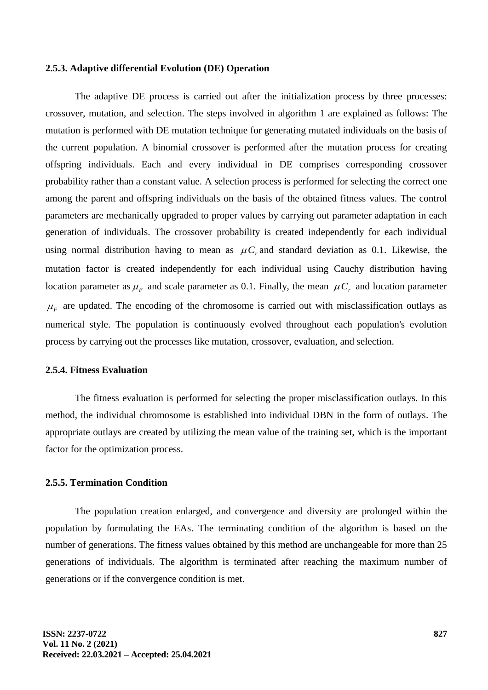#### **2.5.3. Adaptive differential Evolution (DE) Operation**

The adaptive DE process is carried out after the initialization process by three processes: crossover, mutation, and selection. The steps involved in algorithm 1 are explained as follows: The mutation is performed with DE mutation technique for generating mutated individuals on the basis of the current population. A binomial crossover is performed after the mutation process for creating offspring individuals. Each and every individual in DE comprises corresponding crossover probability rather than a constant value. A selection process is performed for selecting the correct one among the parent and offspring individuals on the basis of the obtained fitness values. The control parameters are mechanically upgraded to proper values by carrying out parameter adaptation in each generation of individuals. The crossover probability is created independently for each individual using normal distribution having to mean as  $\mu C_r$  and standard deviation as 0.1. Likewise, the mutation factor is created independently for each individual using Cauchy distribution having location parameter as  $\mu_F$  and scale parameter as 0.1. Finally, the mean  $\mu C_r$  and location parameter  $\mu_F$  are updated. The encoding of the chromosome is carried out with misclassification outlays as numerical style. The population is continuously evolved throughout each population's evolution process by carrying out the processes like mutation, crossover, evaluation, and selection.

#### **2.5.4. Fitness Evaluation**

The fitness evaluation is performed for selecting the proper misclassification outlays. In this method, the individual chromosome is established into individual DBN in the form of outlays. The appropriate outlays are created by utilizing the mean value of the training set, which is the important factor for the optimization process.

### **2.5.5. Termination Condition**

The population creation enlarged, and convergence and diversity are prolonged within the population by formulating the EAs. The terminating condition of the algorithm is based on the number of generations. The fitness values obtained by this method are unchangeable for more than 25 generations of individuals. The algorithm is terminated after reaching the maximum number of generations or if the convergence condition is met.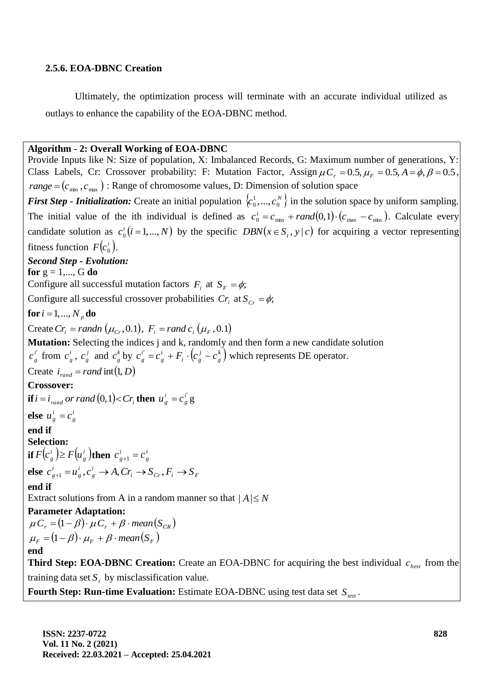## **2.5.6. EOA-DBNC Creation**

Ultimately, the optimization process will terminate with an accurate individual utilized as outlays to enhance the capability of the EOA-DBNC method.

### **Algorithm - 2: Overall Working of EOA-DBNC**

Provide Inputs like N: Size of population, X: Imbalanced Records, G: Maximum number of generations, Y: Class Labels, Cr: Crossover probability: F: Mutation Factor, Assign  $\mu C_r = 0.5$ ,  $\mu_F = 0.5$ ,  $A = \phi$ ,  $\beta = 0.5$ ,  $range = (c_{\text{min}}^-, c_{\text{max}}^+)$ : Range of chromosome values, D: Dimension of solution space *First Step - Initialization:* Create an initial population  $\{c_0^1, ..., c_0^N\}$  $\{a_0^1, ..., c_0^N\}$  in the solution space by uniform sampling. The initial value of the ith individual is defined as  $c_0^i = c_{min} + rand(0,1) \cdot (c_{max} - c_{min})$ . Calculate every candidate solution as  $c_0^i(i=1,...,N)$  by the specific  $DBN(x \in S_i, y \mid c)$  for acquiring a vector representing fitness function  $F(c_0^i)$ . *Second Step - Evolution:* **for**  $g = 1,..., G$  **do** Configure all successful mutation factors  $F_i$  at  $S_F = \phi$ ; Configure all successful crossover probabilities  $Cr_i$  at  $S_{Cr} = \phi$ ;  $\mathbf{for} \, i = 1, ..., N_p \, \mathbf{do}$  $Create Cr_i = randn (\mu_{Cr}, 0.1), F_i = rand c_i (\mu_{F}, 0.1)$ **Mutation:** Selecting the indices j and k, randomly and then form a new candidate solution *i*  $c_{g}^{i'}$  from  $c_{g}^{i}$  $c^{\,i}_{\,g}\,,\ c^{\,j}_{\,g}$  $c^j_s$  and  $c^k_s$  $c_g^k$  by  $c_g^{i'} = c_g^i + F_i \cdot (c_g^j - c_g^k)$ *g j i g i g i*  $c_s^{i'} = c_s^{i} + F_i \cdot (c_s^{i} - c_s^{k})$  which represents DE operator. Create  $i_{rand} = rand \text{ int}(1, D)$ **Crossover: if**  $i = i_{rand}$  or rand  $(0,1) < Cr_i$  then  $u_g^i = c_g^i$ *g*  $u_g^i = c_g^{i'} g$ **else**  $u^i_{\rho} = c^i_{\rho}$ *g*  $u_g^i = c$ **end if Selection:**  $\textbf{if}\, F\bigl( c_{_p}^i \,\bigl) \geq F\bigl( u_{_p}^i \,\bigr)$ t *g*  $F(c_{g}^{i}) \geq F(u_{g}^{i})$ then  $c_{g+1}^{i} = c_{g}^{i}$ *g i*  $c^{i}_{g+1} = c$ **else**  $c_{g+1}^{\prime} = u_g^{\prime}, c_g^{\prime} \rightarrow A, Cr_i \rightarrow S_{Cr}, F_i \rightarrow S_F$ *i g i g*  $c_{g+1}^i = u_g^i$ ,  $c_g^i \to A$ ,  $Cr_i \to S_{Cr}$ ,  $F_i \to S$ **end if** Extract solutions from A in a random manner so that  $|A| \le N$ **Parameter Adaptation:**  $\mu C_r = (1 - \beta) \cdot \mu C_r + \beta \cdot mean(S_{CR})$  $\mu_F = (1 - \beta) \cdot \mu_F + \beta \cdot mean(S_F)$ **end Third Step: EOA-DBNC Creation:** Create an EOA-DBNC for acquiring the best individual  $c_{best}$  from the training data set  $S_t$  by misclassification value.

**Fourth Step: Run-time Evaluation:** Estimate EOA-DBNC using test data set *Stest* .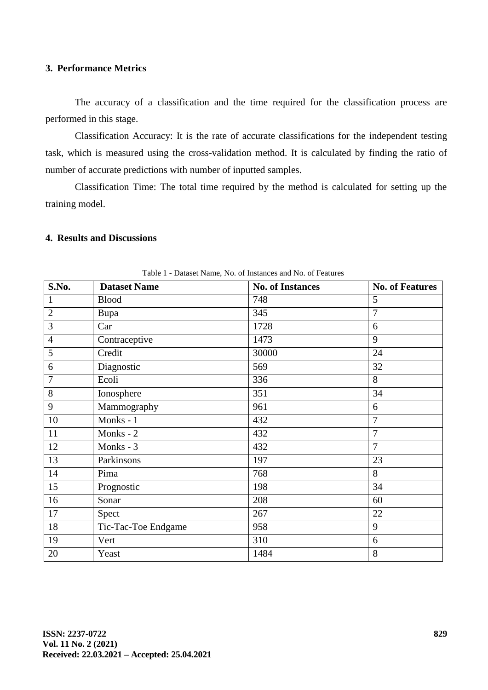# **3. Performance Metrics**

The accuracy of a classification and the time required for the classification process are performed in this stage.

Classification Accuracy: It is the rate of accurate classifications for the independent testing task, which is measured using the cross-validation method. It is calculated by finding the ratio of number of accurate predictions with number of inputted samples.

Classification Time: The total time required by the method is calculated for setting up the training model.

# **4. Results and Discussions**

| Table 1 - Dataset Name, No. 01 mistances and No. 01 Features |                     |                         |                        |  |  |  |  |
|--------------------------------------------------------------|---------------------|-------------------------|------------------------|--|--|--|--|
| S.No.                                                        | <b>Dataset Name</b> | <b>No. of Instances</b> | <b>No. of Features</b> |  |  |  |  |
| $\mathbf{1}$                                                 | <b>Blood</b>        | 748                     | 5                      |  |  |  |  |
| $\overline{2}$                                               | Bupa                | 345                     | $\overline{7}$         |  |  |  |  |
| 3                                                            | Car                 | 1728                    | 6                      |  |  |  |  |
| $\overline{4}$                                               | Contraceptive       | 1473                    | 9                      |  |  |  |  |
| 5                                                            | Credit              | 30000                   | 24                     |  |  |  |  |
| 6                                                            | Diagnostic          | 569                     | 32                     |  |  |  |  |
| $\overline{7}$                                               | Ecoli               | 336                     | 8                      |  |  |  |  |
| 8                                                            | Ionosphere          | 351                     | 34                     |  |  |  |  |
| 9                                                            | Mammography         | 961                     | 6                      |  |  |  |  |
| 10                                                           | Monks - 1           | 432                     | $\overline{7}$         |  |  |  |  |
| 11                                                           | Monks - 2           | 432                     | $\overline{7}$         |  |  |  |  |
| 12                                                           | Monks - 3           | 432                     | $\overline{7}$         |  |  |  |  |
| 13                                                           | Parkinsons          | 197                     | 23                     |  |  |  |  |
| 14                                                           | Pima                | 768                     | 8                      |  |  |  |  |
| 15                                                           | Prognostic          | 198                     | 34                     |  |  |  |  |
| 16                                                           | Sonar               | 208                     | 60                     |  |  |  |  |
| 17                                                           | Spect               | 267                     | 22                     |  |  |  |  |
| 18                                                           | Tic-Tac-Toe Endgame | 958                     | 9                      |  |  |  |  |
| 19                                                           | Vert                | 310                     | 6                      |  |  |  |  |
| 20                                                           | Yeast               | 1484                    | $8\,$                  |  |  |  |  |

Table 1 - Dataset Name, No. of Instances and No. of Features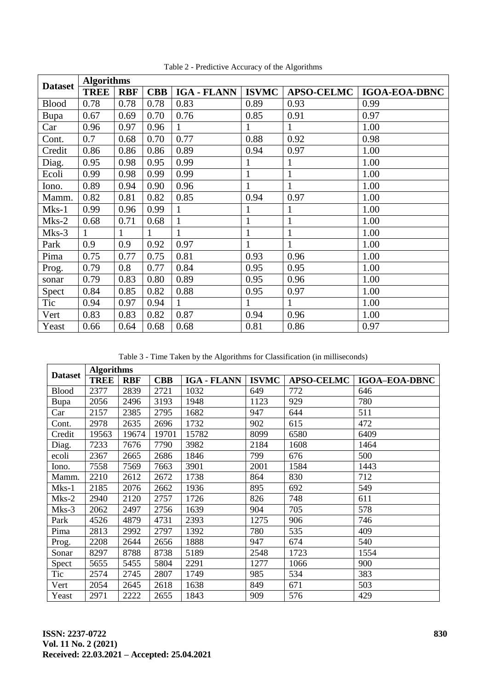| <b>Dataset</b> | <b>Algorithms</b> |            |            |                    |              |                   |                      |
|----------------|-------------------|------------|------------|--------------------|--------------|-------------------|----------------------|
|                | <b>TREE</b>       | <b>RBF</b> | <b>CBB</b> | <b>IGA - FLANN</b> | <b>ISVMC</b> | <b>APSO-CELMC</b> | <b>IGOA-EOA-DBNC</b> |
| <b>Blood</b>   | 0.78              | 0.78       | 0.78       | 0.83               | 0.89         | 0.93              | 0.99                 |
| Bupa           | 0.67              | 0.69       | 0.70       | 0.76               | 0.85         | 0.91              | 0.97                 |
| Car            | 0.96              | 0.97       | 0.96       |                    | 1            | $\mathbf{1}$      | 1.00                 |
| Cont.          | 0.7               | 0.68       | 0.70       | 0.77               | 0.88         | 0.92              | 0.98                 |
| Credit         | 0.86              | 0.86       | 0.86       | 0.89               | 0.94         | 0.97              | 1.00                 |
| Diag.          | 0.95              | 0.98       | 0.95       | 0.99               | 1            | $\mathbf{1}$      | 1.00                 |
| Ecoli          | 0.99              | 0.98       | 0.99       | 0.99               | $\mathbf{1}$ | $\mathbf{1}$      | 1.00                 |
| Iono.          | 0.89              | 0.94       | 0.90       | 0.96               | $\mathbf{1}$ | $\mathbf{1}$      | 1.00                 |
| Mamm.          | 0.82              | 0.81       | 0.82       | 0.85               | 0.94         | 0.97              | 1.00                 |
| Mks-1          | 0.99              | 0.96       | 0.99       | $\mathbf{1}$       | $\mathbf{1}$ | $\mathbf{1}$      | 1.00                 |
| Mks-2          | 0.68              | 0.71       | 0.68       |                    | $\mathbf{1}$ | $\mathbf{1}$      | 1.00                 |
| Mks-3          | $\mathbf{1}$      | 1          | 1          | 1                  | $\mathbf{1}$ | $\mathbf{1}$      | 1.00                 |
| Park           | 0.9               | 0.9        | 0.92       | 0.97               | $\mathbf{1}$ | $\mathbf{1}$      | 1.00                 |
| Pima           | 0.75              | 0.77       | 0.75       | 0.81               | 0.93         | 0.96              | 1.00                 |
| Prog.          | 0.79              | 0.8        | 0.77       | 0.84               | 0.95         | 0.95              | 1.00                 |
| sonar          | 0.79              | 0.83       | 0.80       | 0.89               | 0.95         | 0.96              | 1.00                 |
| Spect          | 0.84              | 0.85       | 0.82       | 0.88               | 0.95         | 0.97              | 1.00                 |
| Tic            | 0.94              | 0.97       | 0.94       | 1                  | $\mathbf{1}$ | $\mathbf{1}$      | 1.00                 |
| Vert           | 0.83              | 0.83       | 0.82       | 0.87               | 0.94         | 0.96              | 1.00                 |
| Yeast          | 0.66              | 0.64       | 0.68       | 0.68               | 0.81         | 0.86              | 0.97                 |

Table 2 - Predictive Accuracy of the Algorithms

Table 3 - Time Taken by the Algorithms for Classification (in milliseconds)

| <b>Dataset</b> | <b>Algorithms</b> |            |            |                    |              |                   |                      |
|----------------|-------------------|------------|------------|--------------------|--------------|-------------------|----------------------|
|                | <b>TREE</b>       | <b>RBF</b> | <b>CBB</b> | <b>IGA - FLANN</b> | <b>ISVMC</b> | <b>APSO-CELMC</b> | <b>IGOA-EOA-DBNC</b> |
| <b>Blood</b>   | 2377              | 2839       | 2721       | 1032               | 649          | 772               | 646                  |
| Bupa           | 2056              | 2496       | 3193       | 1948               | 1123         | 929               | 780                  |
| Car            | 2157              | 2385       | 2795       | 1682               | 947          | 644               | 511                  |
| Cont.          | 2978              | 2635       | 2696       | 1732               | 902          | 615               | 472                  |
| Credit         | 19563             | 19674      | 19701      | 15782              | 8099         | 6580              | 6409                 |
| Diag.          | 7233              | 7676       | 7790       | 3982               | 2184         | 1608              | 1464                 |
| ecoli          | 2367              | 2665       | 2686       | 1846               | 799          | 676               | 500                  |
| Iono.          | 7558              | 7569       | 7663       | 3901               | 2001         | 1584              | 1443                 |
| Mamm.          | 2210              | 2612       | 2672       | 1738               | 864          | 830               | 712                  |
| $Mks-1$        | 2185              | 2076       | 2662       | 1936               | 895          | 692               | 549                  |
| $Mks-2$        | 2940              | 2120       | 2757       | 1726               | 826          | 748               | 611                  |
| $Mks-3$        | 2062              | 2497       | 2756       | 1639               | 904          | 705               | 578                  |
| Park           | 4526              | 4879       | 4731       | 2393               | 1275         | 906               | 746                  |
| Pima           | 2813              | 2992       | 2797       | 1392               | 780          | 535               | 409                  |
| Prog.          | 2208              | 2644       | 2656       | 1888               | 947          | 674               | 540                  |
| Sonar          | 8297              | 8788       | 8738       | 5189               | 2548         | 1723              | 1554                 |
| Spect          | 5655              | 5455       | 5804       | 2291               | 1277         | 1066              | 900                  |
| Tic            | 2574              | 2745       | 2807       | 1749               | 985          | 534               | 383                  |
| Vert           | 2054              | 2645       | 2618       | 1638               | 849          | 671               | 503                  |
| Yeast          | 2971              | 2222       | 2655       | 1843               | 909          | 576               | 429                  |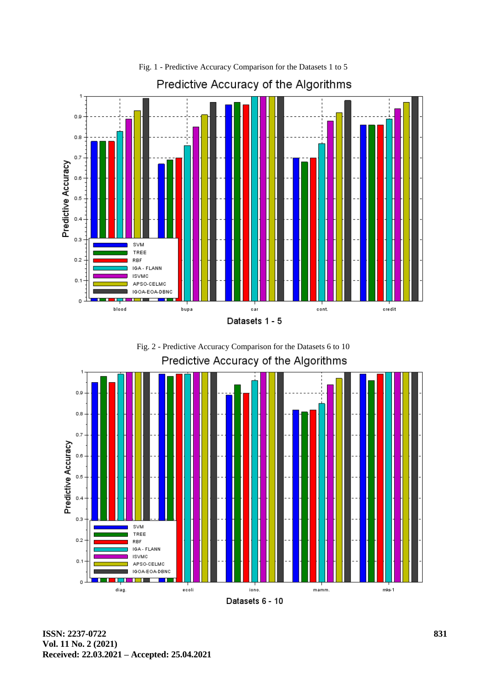

Fig. 2 - Predictive Accuracy Comparison for the Datasets 6 to 10Predictive Accuracy of the Algorithms



**ISSN: 2237-0722 Vol. 11 No. 2 (2021) Received: 22.03.2021 – Accepted: 25.04.2021**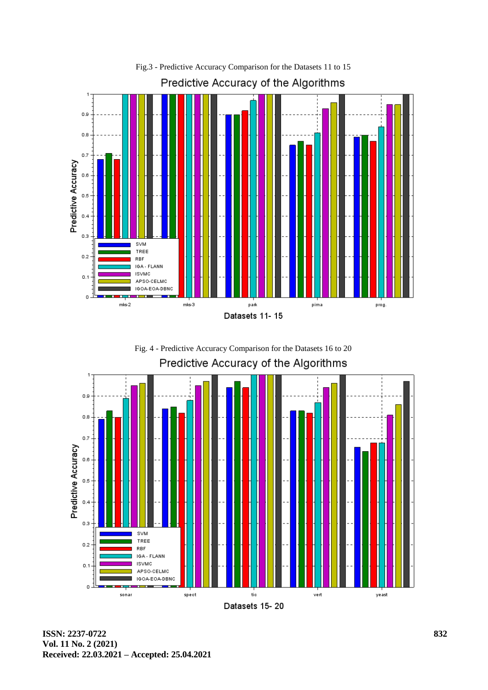





Datasets 15-20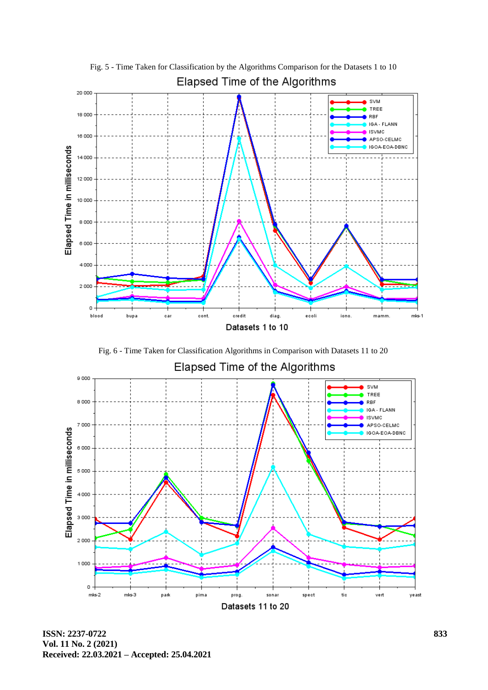

Fig. 5 - Time Taken for Classification by the Algorithms Comparison for the Datasets 1 to 10 Elapsed Time of the Algorithms

Fig. 6 - Time Taken for Classification Algorithms in Comparison with Datasets 11 to 20



**ISSN: 2237-0722 Vol. 11 No. 2 (2021) Received: 22.03.2021 – Accepted: 25.04.2021**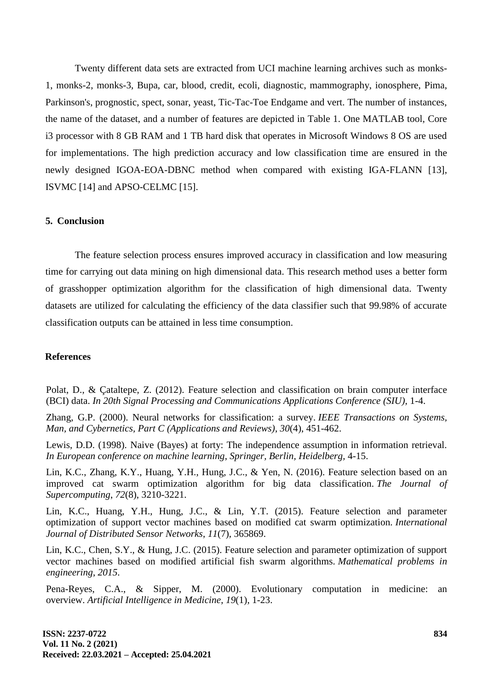Twenty different data sets are extracted from UCI machine learning archives such as monks-1, monks-2, monks-3, Bupa, car, blood, credit, ecoli, diagnostic, mammography, ionosphere, Pima, Parkinson's, prognostic, spect, sonar, yeast, Tic-Tac-Toe Endgame and vert. The number of instances, the name of the dataset, and a number of features are depicted in Table 1. One MATLAB tool, Core i3 processor with 8 GB RAM and 1 TB hard disk that operates in Microsoft Windows 8 OS are used for implementations. The high prediction accuracy and low classification time are ensured in the newly designed IGOA-EOA-DBNC method when compared with existing IGA-FLANN [13], ISVMC [14] and APSO-CELMC [15].

### **5. Conclusion**

The feature selection process ensures improved accuracy in classification and low measuring time for carrying out data mining on high dimensional data. This research method uses a better form of grasshopper optimization algorithm for the classification of high dimensional data. Twenty datasets are utilized for calculating the efficiency of the data classifier such that 99.98% of accurate classification outputs can be attained in less time consumption.

### **References**

Polat, D., & Çataltepe, Z. (2012). Feature selection and classification on brain computer interface (BCI) data. *In 20th Signal Processing and Communications Applications Conference (SIU)*, 1-4.

Zhang, G.P. (2000). Neural networks for classification: a survey. *IEEE Transactions on Systems, Man, and Cybernetics, Part C (Applications and Reviews)*, *30*(4), 451-462.

Lewis, D.D. (1998). Naive (Bayes) at forty: The independence assumption in information retrieval. *In European conference on machine learning*, *Springer, Berlin, Heidelberg,* 4-15.

Lin, K.C., Zhang, K.Y., Huang, Y.H., Hung, J.C., & Yen, N. (2016). Feature selection based on an improved cat swarm optimization algorithm for big data classification. *The Journal of Supercomputing*, *72*(8), 3210-3221.

Lin, K.C., Huang, Y.H., Hung, J.C., & Lin, Y.T. (2015). Feature selection and parameter optimization of support vector machines based on modified cat swarm optimization. *International Journal of Distributed Sensor Networks*, *11*(7), 365869.

Lin, K.C., Chen, S.Y., & Hung, J.C. (2015). Feature selection and parameter optimization of support vector machines based on modified artificial fish swarm algorithms. *Mathematical problems in engineering*, *2015*.

Pena-Reyes, C.A., & Sipper, M. (2000). Evolutionary computation in medicine: an overview. *Artificial Intelligence in Medicine*, *19*(1), 1-23.